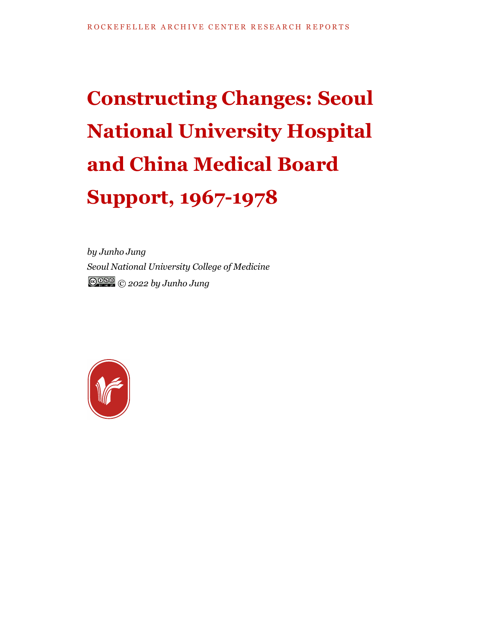# **Constructing Changes: Seoul National University Hospital and China Medical Board Support, 1967-1978**

*by Junho Jung Seoul National University College of Medicine © 2022 by Junho Jung*

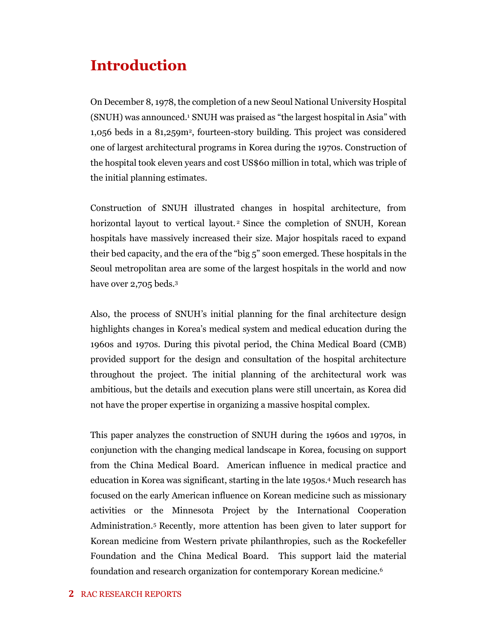### **Introduction**

On December 8, 1978, the completion of a new Seoul National University Hospital (SNUH) was announced.<sup>1</sup> SNUH was praised as "the largest hospital in Asia" with 1,056 beds in a 81,259m<sup>2</sup> , fourteen-story building. This project was considered one of largest architectural programs in Korea during the 1970s. Construction of the hospital took eleven years and cost US\$60 million in total, which was triple of the initial planning estimates.

Construction of SNUH illustrated changes in hospital architecture, from horizontal layout to vertical layout.<sup>2</sup> Since the completion of SNUH, Korean hospitals have massively increased their size. Major hospitals raced to expand their bed capacity, and the era of the "big 5" soon emerged. These hospitals in the Seoul metropolitan area are some of the largest hospitals in the world and now have over 2,705 beds.<sup>3</sup>

Also, the process of SNUH's initial planning for the final architecture design highlights changes in Korea's medical system and medical education during the 1960s and 1970s. During this pivotal period, the China Medical Board (CMB) provided support for the design and consultation of the hospital architecture throughout the project. The initial planning of the architectural work was ambitious, but the details and execution plans were still uncertain, as Korea did not have the proper expertise in organizing a massive hospital complex.

This paper analyzes the construction of SNUH during the 1960s and 1970s, in conjunction with the changing medical landscape in Korea, focusing on support from the China Medical Board. American influence in medical practice and education in Korea was significant, starting in the late 1950s.<sup>4</sup> Much research has focused on the early American influence on Korean medicine such as missionary activities or the Minnesota Project by the International Cooperation Administration. <sup>5</sup> Recently, more attention has been given to later support for Korean medicine from Western private philanthropies, such as the Rockefeller Foundation and the China Medical Board. This support laid the material foundation and research organization for contemporary Korean medicine.<sup>6</sup>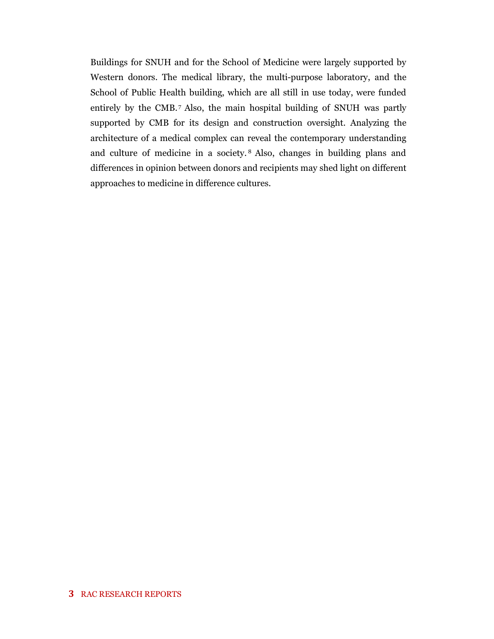Buildings for SNUH and for the School of Medicine were largely supported by Western donors. The medical library, the multi-purpose laboratory, and the School of Public Health building, which are all still in use today, were funded entirely by the CMB. <sup>7</sup> Also, the main hospital building of SNUH was partly supported by CMB for its design and construction oversight. Analyzing the architecture of a medical complex can reveal the contemporary understanding and culture of medicine in a society. <sup>8</sup> Also, changes in building plans and differences in opinion between donors and recipients may shed light on different approaches to medicine in difference cultures.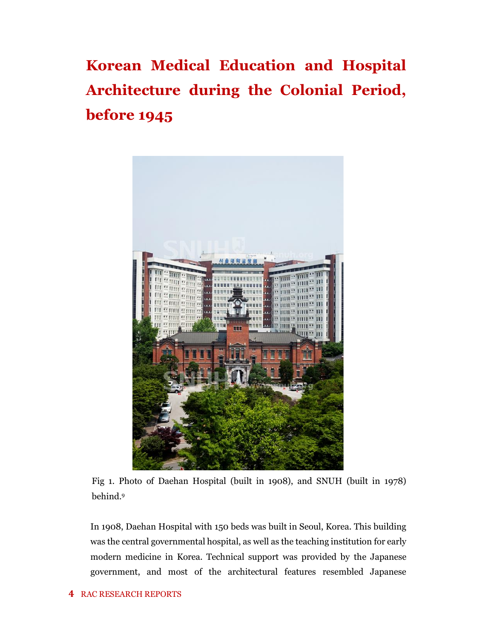**Korean Medical Education and Hospital Architecture during the Colonial Period, before 1945**



Fig 1. Photo of Daehan Hospital (built in 1908), and SNUH (built in 1978) behind.<sup>9</sup>

In 1908, Daehan Hospital with 150 beds was built in Seoul, Korea. This building was the central governmental hospital, as well as the teaching institution for early modern medicine in Korea. Technical support was provided by the Japanese government, and most of the architectural features resembled Japanese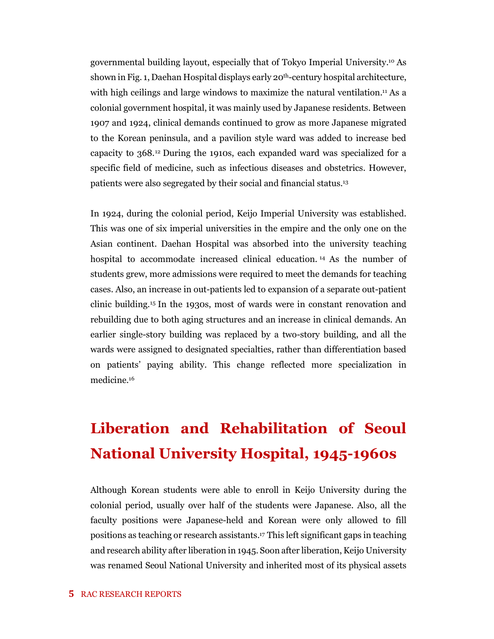governmental building layout, especially that of Tokyo Imperial University.<sup>10</sup> As shown in Fig. 1, Daehan Hospital displays early 20th-century hospital architecture, with high ceilings and large windows to maximize the natural ventilation.<sup>11</sup> As a colonial government hospital, it was mainly used by Japanese residents. Between 1907 and 1924, clinical demands continued to grow as more Japanese migrated to the Korean peninsula, and a pavilion style ward was added to increase bed capacity to 368.<sup>12</sup> During the 1910s, each expanded ward was specialized for a specific field of medicine, such as infectious diseases and obstetrics. However, patients were also segregated by their social and financial status.<sup>13</sup>

In 1924, during the colonial period, Keijo Imperial University was established. This was one of six imperial universities in the empire and the only one on the Asian continent. Daehan Hospital was absorbed into the university teaching hospital to accommodate increased clinical education. <sup>14</sup> As the number of students grew, more admissions were required to meet the demands for teaching cases. Also, an increase in out-patients led to expansion of a separate out-patient clinic building.<sup>15</sup> In the 1930s, most of wards were in constant renovation and rebuilding due to both aging structures and an increase in clinical demands. An earlier single-story building was replaced by a two-story building, and all the wards were assigned to designated specialties, rather than differentiation based on patients' paying ability. This change reflected more specialization in medicine.<sup>16</sup>

## **Liberation and Rehabilitation of Seoul National University Hospital, 1945-1960s**

Although Korean students were able to enroll in Keijo University during the colonial period, usually over half of the students were Japanese. Also, all the faculty positions were Japanese-held and Korean were only allowed to fill positions as teaching or research assistants. <sup>17</sup> This left significant gaps in teaching and research ability after liberation in 1945. Soon after liberation, Keijo University was renamed Seoul National University and inherited most of its physical assets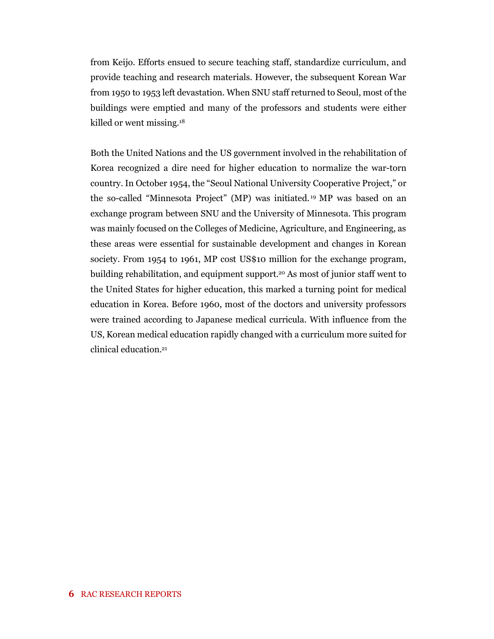from Keijo. Efforts ensued to secure teaching staff, standardize curriculum, and provide teaching and research materials. However, the subsequent Korean War from 1950 to 1953 left devastation. When SNU staff returned to Seoul, most of the buildings were emptied and many of the professors and students were either killed or went missing.<sup>18</sup>

Both the United Nations and the US government involved in the rehabilitation of Korea recognized a dire need for higher education to normalize the war-torn country. In October 1954, the "Seoul National University Cooperative Project," or the so-called "Minnesota Project" (MP) was initiated. <sup>19</sup> MP was based on an exchange program between SNU and the University of Minnesota. This program was mainly focused on the Colleges of Medicine, Agriculture, and Engineering, as these areas were essential for sustainable development and changes in Korean society. From 1954 to 1961, MP cost US\$10 million for the exchange program, building rehabilitation, and equipment support.<sup>20</sup> As most of junior staff went to the United States for higher education, this marked a turning point for medical education in Korea. Before 1960, most of the doctors and university professors were trained according to Japanese medical curricula. With influence from the US, Korean medical education rapidly changed with a curriculum more suited for clinical education. 21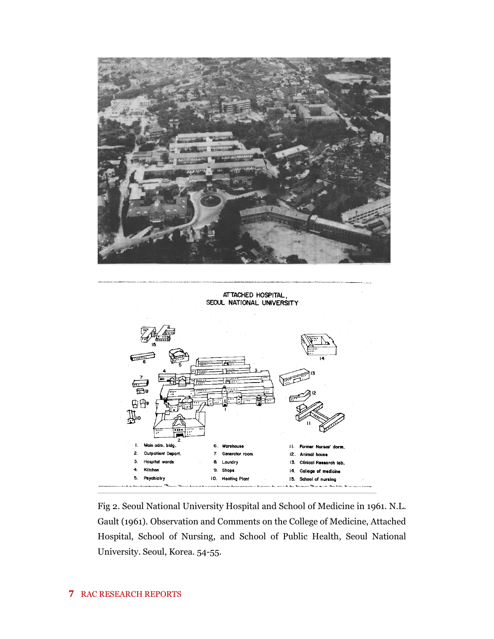

ATTACHED HOSPITAL SEOUL NATIONAL UNIVERSITY



Fig 2. Seoul National University Hospital and School of Medicine in 1961. N.L. Gault (1961). Observation and Comments on the College of Medicine, Attached Hospital, School of Nursing, and School of Public Health, Seoul National University. Seoul, Korea. 54-55.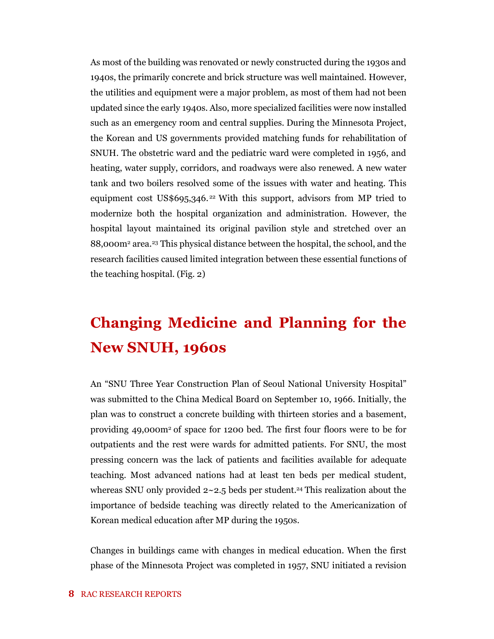As most of the building was renovated or newly constructed during the 1930s and 1940s, the primarily concrete and brick structure was well maintained. However, the utilities and equipment were a major problem, as most of them had not been updated since the early 1940s. Also, more specialized facilities were now installed such as an emergency room and central supplies. During the Minnesota Project, the Korean and US governments provided matching funds for rehabilitation of SNUH. The obstetric ward and the pediatric ward were completed in 1956, and heating, water supply, corridors, and roadways were also renewed. A new water tank and two boilers resolved some of the issues with water and heating. This equipment cost US\$695,346.<sup>22</sup> With this support, advisors from MP tried to modernize both the hospital organization and administration. However, the hospital layout maintained its original pavilion style and stretched over an 88,000m<sup>2</sup> area.<sup>23</sup> This physical distance between the hospital, the school, and the research facilities caused limited integration between these essential functions of the teaching hospital. (Fig. 2)

## **Changing Medicine and Planning for the New SNUH, 1960s**

An "SNU Three Year Construction Plan of Seoul National University Hospital" was submitted to the China Medical Board on September 10, 1966. Initially, the plan was to construct a concrete building with thirteen stories and a basement, providing 49,000m<sup>2</sup> of space for 1200 bed. The first four floors were to be for outpatients and the rest were wards for admitted patients. For SNU, the most pressing concern was the lack of patients and facilities available for adequate teaching. Most advanced nations had at least ten beds per medical student, whereas SNU only provided  $2 \times 2.5$  beds per student.<sup>24</sup> This realization about the importance of bedside teaching was directly related to the Americanization of Korean medical education after MP during the 1950s.

Changes in buildings came with changes in medical education. When the first phase of the Minnesota Project was completed in 1957, SNU initiated a revision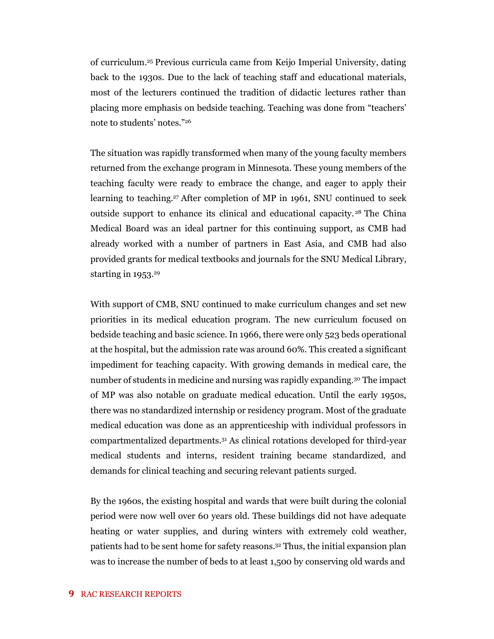of curriculum.<sup>25</sup> Previous curricula came from Keijo Imperial University, dating back to the 1930s. Due to the lack of teaching staff and educational materials, most of the lecturers continued the tradition of didactic lectures rather than placing more emphasis on bedside teaching. Teaching was done from "teachers' note to students' notes." 26

The situation was rapidly transformed when many of the young faculty members returned from the exchange program in Minnesota. These young members of the teaching faculty were ready to embrace the change, and eager to apply their learning to teaching.<sup>27</sup> After completion of MP in 1961, SNU continued to seek outside support to enhance its clinical and educational capacity. <sup>28</sup> The China Medical Board was an ideal partner for this continuing support, as CMB had already worked with a number of partners in East Asia, and CMB had also provided grants for medical textbooks and journals for the SNU Medical Library, starting in 1953. 29

With support of CMB, SNU continued to make curriculum changes and set new priorities in its medical education program. The new curriculum focused on bedside teaching and basic science. In 1966, there were only 523 beds operational at the hospital, but the admission rate was around 60%. This created a significant impediment for teaching capacity. With growing demands in medical care, the number of students in medicine and nursing was rapidly expanding.<sup>30</sup> The impact of MP was also notable on graduate medical education. Until the early 1950s, there was no standardized internship or residency program. Most of the graduate medical education was done as an apprenticeship with individual professors in compartmentalized departments.<sup>31</sup> As clinical rotations developed for third-year medical students and interns, resident training became standardized, and demands for clinical teaching and securing relevant patients surged.

By the 1960s, the existing hospital and wards that were built during the colonial period were now well over 60 years old. These buildings did not have adequate heating or water supplies, and during winters with extremely cold weather, patients had to be sent home for safety reasons.<sup>32</sup> Thus, the initial expansion plan was to increase the number of beds to at least 1,500 by conserving old wards and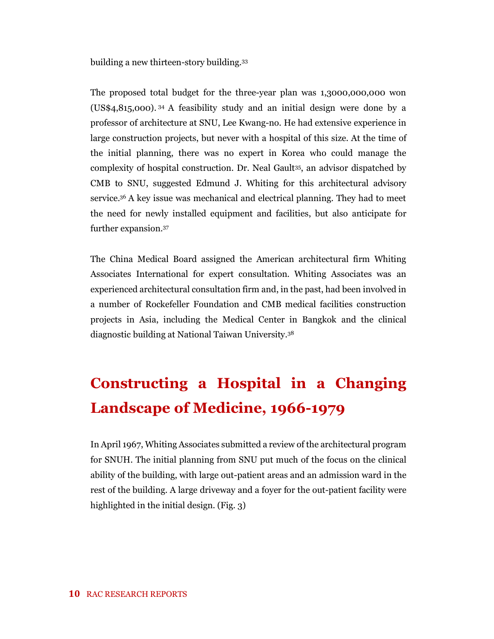building a new thirteen-story building.<sup>33</sup>

The proposed total budget for the three-year plan was 1,3000,000,000 won (US\$4,815,000). <sup>34</sup> A feasibility study and an initial design were done by a professor of architecture at SNU, Lee Kwang-no. He had extensive experience in large construction projects, but never with a hospital of this size. At the time of the initial planning, there was no expert in Korea who could manage the complexity of hospital construction. Dr. Neal Gault<sup>35</sup> , an advisor dispatched by CMB to SNU, suggested Edmund J. Whiting for this architectural advisory service.<sup>36</sup> A key issue was mechanical and electrical planning. They had to meet the need for newly installed equipment and facilities, but also anticipate for further expansion.<sup>37</sup>

The China Medical Board assigned the American architectural firm Whiting Associates International for expert consultation. Whiting Associates was an experienced architectural consultation firm and, in the past, had been involved in a number of Rockefeller Foundation and CMB medical facilities construction projects in Asia, including the Medical Center in Bangkok and the clinical diagnostic building at National Taiwan University.<sup>38</sup>

# **Constructing a Hospital in a Changing Landscape of Medicine, 1966-1979**

In April 1967, Whiting Associates submitted a review of the architectural program for SNUH. The initial planning from SNU put much of the focus on the clinical ability of the building, with large out-patient areas and an admission ward in the rest of the building. A large driveway and a foyer for the out-patient facility were highlighted in the initial design. (Fig. 3)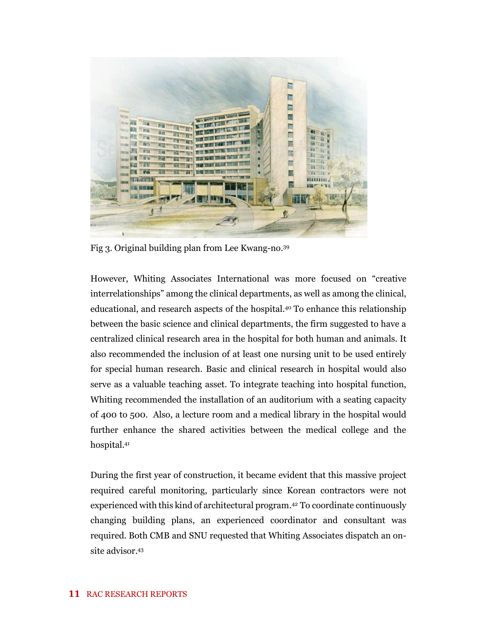

Fig 3. Original building plan from Lee Kwang-no.<sup>39</sup>

However, Whiting Associates International was more focused on "creative interrelationships" among the clinical departments, as well as among the clinical, educational, and research aspects of the hospital.<sup>40</sup> To enhance this relationship between the basic science and clinical departments, the firm suggested to have a centralized clinical research area in the hospital for both human and animals. It also recommended the inclusion of at least one nursing unit to be used entirely for special human research. Basic and clinical research in hospital would also serve as a valuable teaching asset. To integrate teaching into hospital function, Whiting recommended the installation of an auditorium with a seating capacity of 400 to 500. Also, a lecture room and a medical library in the hospital would further enhance the shared activities between the medical college and the hospital. 41

During the first year of construction, it became evident that this massive project required careful monitoring, particularly since Korean contractors were not experienced with this kind of architectural program. <sup>42</sup> To coordinate continuously changing building plans, an experienced coordinator and consultant was required. Both CMB and SNU requested that Whiting Associates dispatch an onsite advisor.<sup>43</sup>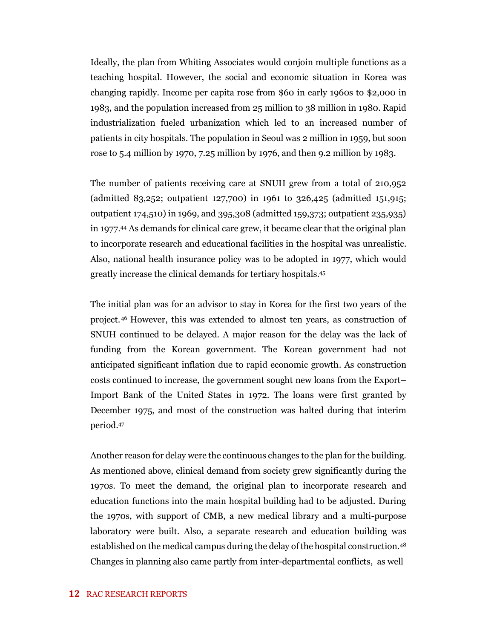Ideally, the plan from Whiting Associates would conjoin multiple functions as a teaching hospital. However, the social and economic situation in Korea was changing rapidly. Income per capita rose from \$60 in early 1960s to \$2,000 in 1983, and the population increased from 25 million to 38 million in 1980. Rapid industrialization fueled urbanization which led to an increased number of patients in city hospitals. The population in Seoul was 2 million in 1959, but soon rose to 5.4 million by 1970, 7.25 million by 1976, and then 9.2 million by 1983.

The number of patients receiving care at SNUH grew from a total of 210,952 (admitted 83,252; outpatient 127,700) in 1961 to 326,425 (admitted 151,915; outpatient 174,510) in 1969, and 395,308 (admitted 159,373; outpatient 235,935) in 1977.<sup>44</sup> As demands for clinical care grew, it became clear that the original plan to incorporate research and educational facilities in the hospital was unrealistic. Also, national health insurance policy was to be adopted in 1977, which would greatly increase the clinical demands for tertiary hospitals.<sup>45</sup>

The initial plan was for an advisor to stay in Korea for the first two years of the project.<sup>46</sup> However, this was extended to almost ten years, as construction of SNUH continued to be delayed. A major reason for the delay was the lack of funding from the Korean government. The Korean government had not anticipated significant inflation due to rapid economic growth. As construction costs continued to increase, the government sought new loans from the Export– Import Bank of the United States in 1972. The loans were first granted by December 1975, and most of the construction was halted during that interim period.<sup>47</sup>

Another reason for delay were the continuous changes to the plan for the building. As mentioned above, clinical demand from society grew significantly during the 1970s. To meet the demand, the original plan to incorporate research and education functions into the main hospital building had to be adjusted. During the 1970s, with support of CMB, a new medical library and a multi-purpose laboratory were built. Also, a separate research and education building was established on the medical campus during the delay of the hospital construction.<sup>48</sup> Changes in planning also came partly from inter-departmental conflicts, as well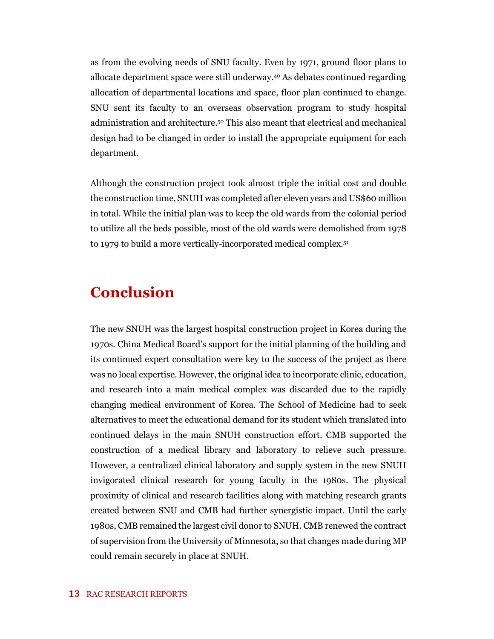as from the evolving needs of SNU faculty. Even by 1971, ground floor plans to allocate department space were still underway.<sup>49</sup> As debates continued regarding allocation of departmental locations and space, floor plan continued to change. SNU sent its faculty to an overseas observation program to study hospital administration and architecture.<sup>50</sup> This also meant that electrical and mechanical design had to be changed in order to install the appropriate equipment for each department.

Although the construction project took almost triple the initial cost and double the construction time, SNUH was completed after eleven years and US\$60 million in total. While the initial plan was to keep the old wards from the colonial period to utilize all the beds possible, most of the old wards were demolished from 1978 to 1979 to build a more vertically-incorporated medical complex.<sup>51</sup>

### **Conclusion**

The new SNUH was the largest hospital construction project in Korea during the 1970s. China Medical Board's support for the initial planning of the building and its continued expert consultation were key to the success of the project as there was no local expertise. However, the original idea to incorporate clinic, education, and research into a main medical complex was discarded due to the rapidly changing medical environment of Korea. The School of Medicine had to seek alternatives to meet the educational demand for its student which translated into continued delays in the main SNUH construction effort. CMB supported the construction of a medical library and laboratory to relieve such pressure. However, a centralized clinical laboratory and supply system in the new SNUH invigorated clinical research for young faculty in the 1980s. The physical proximity of clinical and research facilities along with matching research grants created between SNU and CMB had further synergistic impact. Until the early 1980s, CMB remained the largest civil donor to SNUH. CMB renewed the contract of supervision from the University of Minnesota, so that changes made during MP could remain securely in place at SNUH.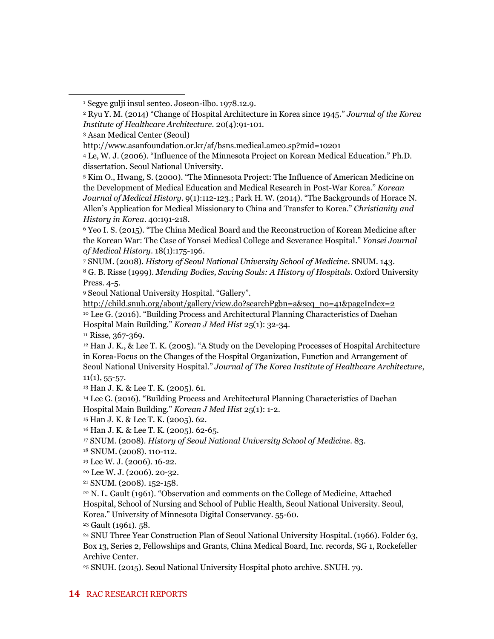<sup>3</sup> Asan Medical Center (Seoul)

<sup>6</sup> Yeo I. S. (2015). "The China Medical Board and the Reconstruction of Korean Medicine after the Korean War: The Case of Yonsei Medical College and Severance Hospital." *Yonsei Journal of Medical History*. 18(1):175-196.

<sup>7</sup> SNUM. (2008). *History of Seoul National University School of Medicine*. SNUM. 143. <sup>8</sup> G. B. Risse (1999). *Mending Bodies, Saving Souls: A History of Hospitals*. Oxford University

Press. 4-5.

<sup>9</sup> Seoul National University Hospital. "Gallery".

[http://child.snuh.org/about/gallery/view.do?searchPgbn=a&seq\\_no=41&pageIndex=2](http://child.snuh.org/about/gallery/view.do?searchPgbn=a&seq_no=41&pageIndex=2) <sup>10</sup> Lee G. (2016). "Building Process and Architectural Planning Characteristics of Daehan Hospital Main Building." *Korean J Med Hist* 25(1): 32-34.

 $11$  Risse, 367-369.

<sup>12</sup> Han J. K., & Lee T. K. (2005). "A Study on the Developing Processes of Hospital Architecture in Korea-Focus on the Changes of the Hospital Organization, Function and Arrangement of Seoul National University Hospital." *Journal of The Korea Institute of Healthcare Architecture*,  $11(1), 55-57.$ 

<sup>13</sup> Han J. K. & Lee T. K. (2005). 61.

<sup>14</sup> Lee G. (2016). "Building Process and Architectural Planning Characteristics of Daehan Hospital Main Building." *Korean J Med Hist* 25(1): 1-2.

<sup>15</sup> Han J. K. & Lee T. K. (2005). 62.

<sup>16</sup> Han J. K. & Lee T. K. (2005). 62-65.

<sup>17</sup> SNUM. (2008). *History of Seoul National University School of Medicine*. 83.

<sup>18</sup> SNUM. (2008). 110-112.

<sup>19</sup> Lee W. J. (2006). 16-22.

<sup>20</sup> Lee W. J. (2006). 20-32.

<sup>21</sup> SNUM. (2008). 152-158.

<sup>22</sup> N. L. Gault (1961). "Observation and comments on the College of Medicine, Attached Hospital, School of Nursing and School of Public Health, Seoul National University. Seoul, Korea." University of Minnesota Digital Conservancy. 55-60.

<sup>23</sup> Gault (1961). 58.

<sup>24</sup> SNU Three Year Construction Plan of Seoul National University Hospital. (1966). Folder 63, Box 13, Series 2, Fellowships and Grants, China Medical Board, Inc. records, SG 1, Rockefeller Archive Center.

<sup>25</sup> SNUH. (2015). Seoul National University Hospital photo archive. SNUH. 79.

<sup>1</sup> Segye gulji insul senteo. Joseon-ilbo. 1978.12.9.

<sup>2</sup> Ryu Y. M. (2014) "Change of Hospital Architecture in Korea since 1945." *Journal of the Korea Institute of Healthcare Architecture.* 20(4):91-101.

http://www.asanfoundation.or.kr/af/bsns.medical.amc0.sp?mid=10201

<sup>4</sup> Le, W. J. (2006). "Influence of the Minnesota Project on Korean Medical Education." Ph.D. dissertation. Seoul National University.

<sup>5</sup> Kim O., Hwang, S. (2000). "The Minnesota Project: The Influence of American Medicine on the Development of Medical Education and Medical Research in Post-War Korea." *Korean Journal of Medical History*. 9(1):112-123.; Park H. W. (2014). "The Backgrounds of Horace N. Allen's Application for Medical Missionary to China and Transfer to Korea." *Christianity and History in Korea*. 40:191-218.